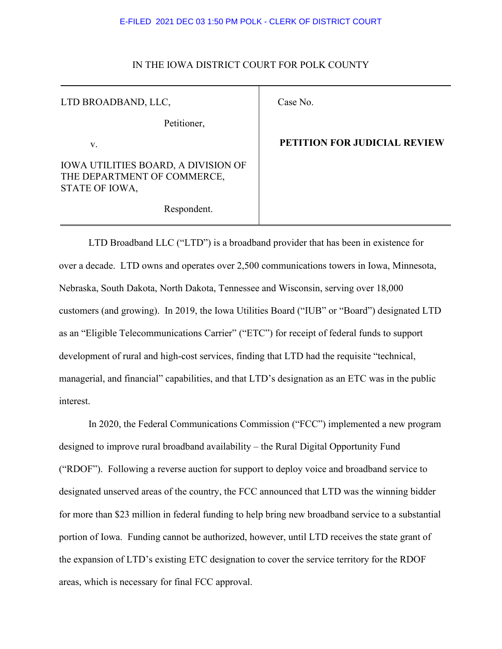# IN THE IOWA DISTRICT COURT FOR POLK COUNTY

| LTD BROADBAND, LLC,                                                                         | Case l |
|---------------------------------------------------------------------------------------------|--------|
| Petitioner,                                                                                 |        |
| V.                                                                                          | PETI   |
| <b>IOWA UTILITIES BOARD, A DIVISION OF</b><br>THE DEPARTMENT OF COMMERCE,<br>STATE OF IOWA, |        |
| Respondent.                                                                                 |        |

## No.

## **PETITION FOR JUDICIAL REVIEW**

LTD Broadband LLC ("LTD") is a broadband provider that has been in existence for over a decade. LTD owns and operates over 2,500 communications towers in Iowa, Minnesota, Nebraska, South Dakota, North Dakota, Tennessee and Wisconsin, serving over 18,000 customers (and growing). In 2019, the Iowa Utilities Board ("IUB" or "Board") designated LTD as an "Eligible Telecommunications Carrier" ("ETC") for receipt of federal funds to support development of rural and high-cost services, finding that LTD had the requisite "technical, managerial, and financial" capabilities, and that LTD's designation as an ETC was in the public interest.

In 2020, the Federal Communications Commission ("FCC") implemented a new program designed to improve rural broadband availability – the Rural Digital Opportunity Fund ("RDOF"). Following a reverse auction for support to deploy voice and broadband service to designated unserved areas of the country, the FCC announced that LTD was the winning bidder for more than \$23 million in federal funding to help bring new broadband service to a substantial portion of Iowa. Funding cannot be authorized, however, until LTD receives the state grant of the expansion of LTD's existing ETC designation to cover the service territory for the RDOF areas, which is necessary for final FCC approval.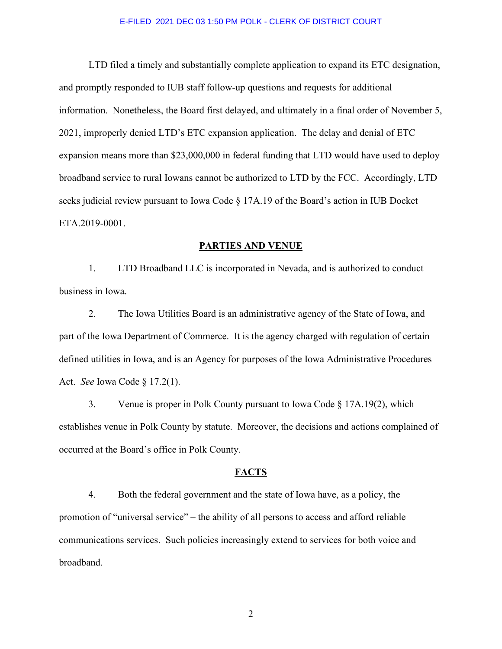LTD filed a timely and substantially complete application to expand its ETC designation, and promptly responded to IUB staff follow-up questions and requests for additional information. Nonetheless, the Board first delayed, and ultimately in a final order of November 5, 2021, improperly denied LTD's ETC expansion application. The delay and denial of ETC expansion means more than \$23,000,000 in federal funding that LTD would have used to deploy broadband service to rural Iowans cannot be authorized to LTD by the FCC. Accordingly, LTD seeks judicial review pursuant to Iowa Code § 17A.19 of the Board's action in IUB Docket ETA.2019-0001.

### **PARTIES AND VENUE**

1. LTD Broadband LLC is incorporated in Nevada, and is authorized to conduct business in Iowa.

2. The Iowa Utilities Board is an administrative agency of the State of Iowa, and part of the Iowa Department of Commerce. It is the agency charged with regulation of certain defined utilities in Iowa, and is an Agency for purposes of the Iowa Administrative Procedures Act. *See* Iowa Code § 17.2(1).

3. Venue is proper in Polk County pursuant to Iowa Code § 17A.19(2), which establishes venue in Polk County by statute. Moreover, the decisions and actions complained of occurred at the Board's office in Polk County.

### **FACTS**

4. Both the federal government and the state of Iowa have, as a policy, the promotion of "universal service" – the ability of all persons to access and afford reliable communications services. Such policies increasingly extend to services for both voice and broadband.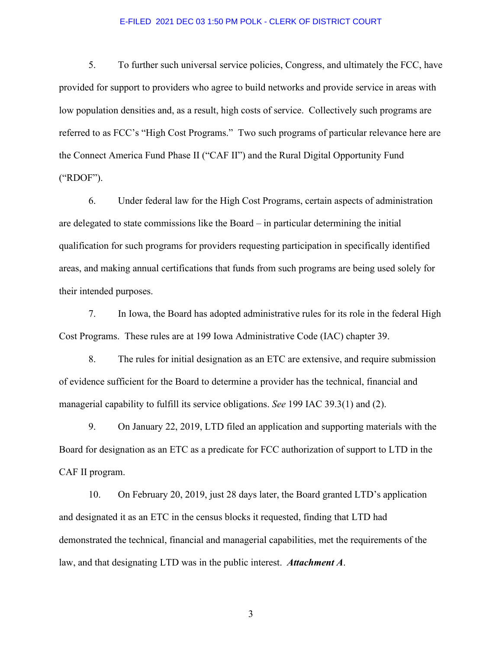5. To further such universal service policies, Congress, and ultimately the FCC, have provided for support to providers who agree to build networks and provide service in areas with low population densities and, as a result, high costs of service. Collectively such programs are referred to as FCC's "High Cost Programs." Two such programs of particular relevance here are the Connect America Fund Phase II ("CAF II") and the Rural Digital Opportunity Fund ("RDOF").

6. Under federal law for the High Cost Programs, certain aspects of administration are delegated to state commissions like the Board – in particular determining the initial qualification for such programs for providers requesting participation in specifically identified areas, and making annual certifications that funds from such programs are being used solely for their intended purposes.

7. In Iowa, the Board has adopted administrative rules for its role in the federal High Cost Programs. These rules are at 199 Iowa Administrative Code (IAC) chapter 39.

8. The rules for initial designation as an ETC are extensive, and require submission of evidence sufficient for the Board to determine a provider has the technical, financial and managerial capability to fulfill its service obligations. *See* 199 IAC 39.3(1) and (2).

9. On January 22, 2019, LTD filed an application and supporting materials with the Board for designation as an ETC as a predicate for FCC authorization of support to LTD in the CAF II program.

10. On February 20, 2019, just 28 days later, the Board granted LTD's application and designated it as an ETC in the census blocks it requested, finding that LTD had demonstrated the technical, financial and managerial capabilities, met the requirements of the law, and that designating LTD was in the public interest. *Attachment A*.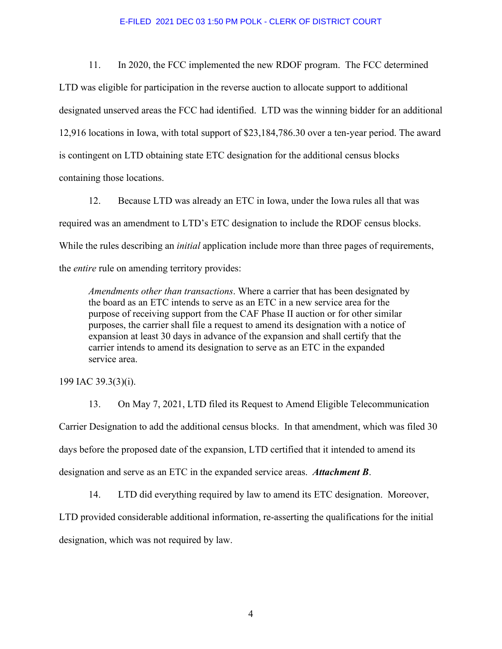11. In 2020, the FCC implemented the new RDOF program. The FCC determined

LTD was eligible for participation in the reverse auction to allocate support to additional designated unserved areas the FCC had identified. LTD was the winning bidder for an additional 12,916 locations in Iowa, with total support of \$23,184,786.30 over a ten-year period. The award is contingent on LTD obtaining state ETC designation for the additional census blocks containing those locations.

12. Because LTD was already an ETC in Iowa, under the Iowa rules all that was required was an amendment to LTD's ETC designation to include the RDOF census blocks. While the rules describing an *initial* application include more than three pages of requirements, the *entire* rule on amending territory provides:

*Amendments other than transactions*. Where a carrier that has been designated by the board as an ETC intends to serve as an ETC in a new service area for the purpose of receiving support from the CAF Phase II auction or for other similar purposes, the carrier shall file a request to amend its designation with a notice of expansion at least 30 days in advance of the expansion and shall certify that the carrier intends to amend its designation to serve as an ETC in the expanded service area.

199 IAC 39.3(3)(i).

13. On May 7, 2021, LTD filed its Request to Amend Eligible Telecommunication Carrier Designation to add the additional census blocks. In that amendment, which was filed 30 days before the proposed date of the expansion, LTD certified that it intended to amend its designation and serve as an ETC in the expanded service areas. *Attachment B*.

14. LTD did everything required by law to amend its ETC designation. Moreover, LTD provided considerable additional information, re-asserting the qualifications for the initial

designation, which was not required by law.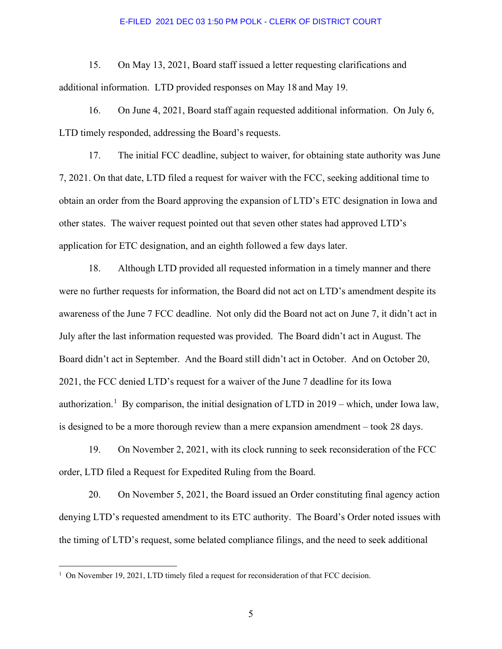15. On May 13, 2021, Board staff issued a letter requesting clarifications and additional information. LTD provided responses on May 18 and May 19.

16. On June 4, 2021, Board staff again requested additional information. On July 6, LTD timely responded, addressing the Board's requests.

17. The initial FCC deadline, subject to waiver, for obtaining state authority was June 7, 2021. On that date, LTD filed a request for waiver with the FCC, seeking additional time to obtain an order from the Board approving the expansion of LTD's ETC designation in Iowa and other states. The waiver request pointed out that seven other states had approved LTD's application for ETC designation, and an eighth followed a few days later.

18. Although LTD provided all requested information in a timely manner and there were no further requests for information, the Board did not act on LTD's amendment despite its awareness of the June 7 FCC deadline. Not only did the Board not act on June 7, it didn't act in July after the last information requested was provided. The Board didn't act in August. The Board didn't act in September. And the Board still didn't act in October. And on October 20, 2021, the FCC denied LTD's request for a waiver of the June 7 deadline for its Iowa authorization.<sup>[1](#page-4-0)</sup> By comparison, the initial designation of LTD in  $2019$  – which, under Iowa law, is designed to be a more thorough review than a mere expansion amendment – took 28 days.

19. On November 2, 2021, with its clock running to seek reconsideration of the FCC order, LTD filed a Request for Expedited Ruling from the Board.

20. On November 5, 2021, the Board issued an Order constituting final agency action denying LTD's requested amendment to its ETC authority. The Board's Order noted issues with the timing of LTD's request, some belated compliance filings, and the need to seek additional

<span id="page-4-0"></span><sup>&</sup>lt;sup>1</sup> On November 19, 2021, LTD timely filed a request for reconsideration of that FCC decision.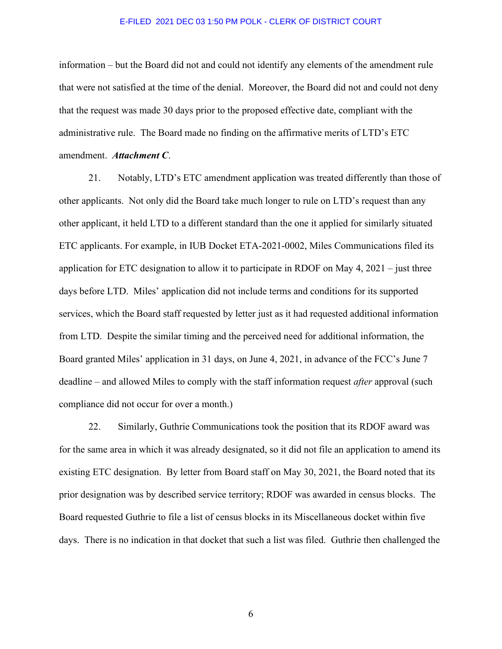information – but the Board did not and could not identify any elements of the amendment rule that were not satisfied at the time of the denial. Moreover, the Board did not and could not deny that the request was made 30 days prior to the proposed effective date, compliant with the administrative rule. The Board made no finding on the affirmative merits of LTD's ETC amendment. *Attachment C*.

21. Notably, LTD's ETC amendment application was treated differently than those of other applicants. Not only did the Board take much longer to rule on LTD's request than any other applicant, it held LTD to a different standard than the one it applied for similarly situated ETC applicants. For example, in IUB Docket ETA-2021-0002, Miles Communications filed its application for ETC designation to allow it to participate in RDOF on May 4, 2021 – just three days before LTD. Miles' application did not include terms and conditions for its supported services, which the Board staff requested by letter just as it had requested additional information from LTD. Despite the similar timing and the perceived need for additional information, the Board granted Miles' application in 31 days, on June 4, 2021, in advance of the FCC's June 7 deadline – and allowed Miles to comply with the staff information request *after* approval (such compliance did not occur for over a month.)

22. Similarly, Guthrie Communications took the position that its RDOF award was for the same area in which it was already designated, so it did not file an application to amend its existing ETC designation. By letter from Board staff on May 30, 2021, the Board noted that its prior designation was by described service territory; RDOF was awarded in census blocks. The Board requested Guthrie to file a list of census blocks in its Miscellaneous docket within five days. There is no indication in that docket that such a list was filed. Guthrie then challenged the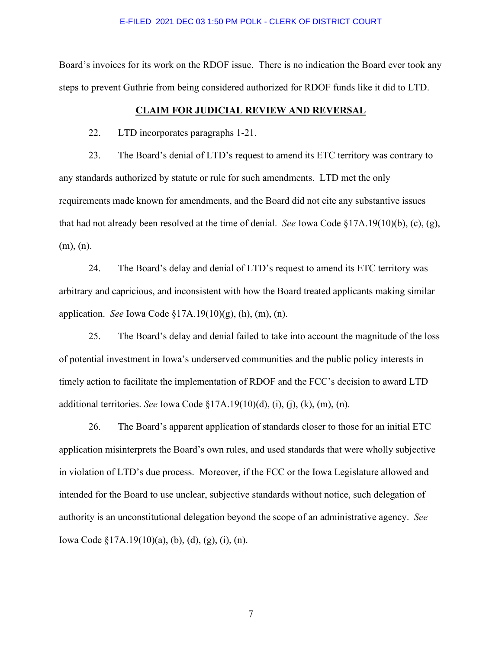Board's invoices for its work on the RDOF issue. There is no indication the Board ever took any steps to prevent Guthrie from being considered authorized for RDOF funds like it did to LTD.

#### **CLAIM FOR JUDICIAL REVIEW AND REVERSAL**

22. LTD incorporates paragraphs 1-21.

23. The Board's denial of LTD's request to amend its ETC territory was contrary to any standards authorized by statute or rule for such amendments. LTD met the only requirements made known for amendments, and the Board did not cite any substantive issues that had not already been resolved at the time of denial. *See* Iowa Code §17A.19(10)(b), (c), (g), (m), (n).

24. The Board's delay and denial of LTD's request to amend its ETC territory was arbitrary and capricious, and inconsistent with how the Board treated applicants making similar application. *See* Iowa Code §17A.19(10)(g), (h), (m), (n).

25. The Board's delay and denial failed to take into account the magnitude of the loss of potential investment in Iowa's underserved communities and the public policy interests in timely action to facilitate the implementation of RDOF and the FCC's decision to award LTD additional territories. *See* Iowa Code §17A.19(10)(d), (i), (j), (k), (m), (n).

26. The Board's apparent application of standards closer to those for an initial ETC application misinterprets the Board's own rules, and used standards that were wholly subjective in violation of LTD's due process. Moreover, if the FCC or the Iowa Legislature allowed and intended for the Board to use unclear, subjective standards without notice, such delegation of authority is an unconstitutional delegation beyond the scope of an administrative agency. *See* Iowa Code §17A.19(10)(a), (b), (d), (g), (i), (n).